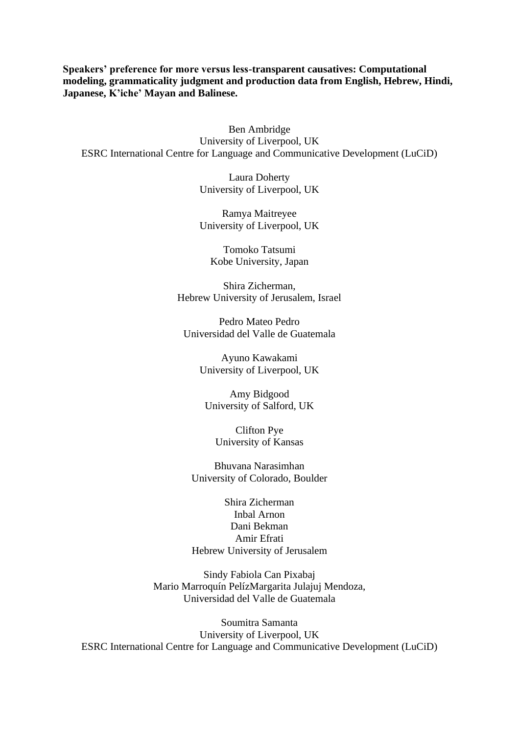**Speakers' preference for more versus less-transparent causatives: Computational modeling, grammaticality judgment and production data from English, Hebrew, Hindi, Japanese, K'iche' Mayan and Balinese.**

Ben Ambridge University of Liverpool, UK ESRC International Centre for Language and Communicative Development (LuCiD)

> Laura Doherty University of Liverpool, UK

> Ramya Maitreyee University of Liverpool, UK

Tomoko Tatsumi Kobe University, Japan

Shira Zicherman, Hebrew University of Jerusalem, Israel

Pedro Mateo Pedro Universidad del Valle de Guatemala

> Ayuno Kawakami University of Liverpool, UK

Amy Bidgood University of Salford, UK

Clifton Pye University of Kansas

Bhuvana Narasimhan University of Colorado, Boulder

Shira Zicherman Inbal Arnon Dani Bekman Amir Efrati Hebrew University of Jerusalem

Sindy Fabiola Can Pixabaj Mario Marroquín PelízMargarita Julajuj Mendoza, Universidad del Valle de Guatemala

Soumitra Samanta University of Liverpool, UK ESRC International Centre for Language and Communicative Development (LuCiD)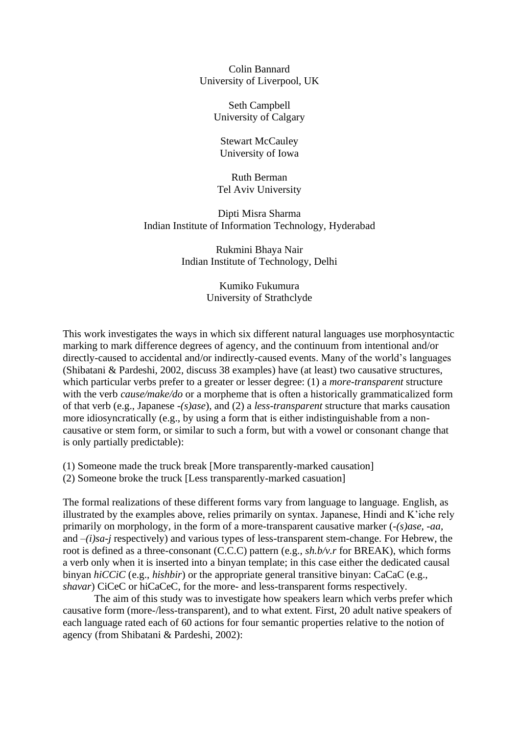Colin Bannard University of Liverpool, UK

> Seth Campbell University of Calgary

Stewart McCauley University of Iowa

Ruth Berman Tel Aviv University

Dipti Misra Sharma Indian Institute of Information Technology, Hyderabad

> Rukmini Bhaya Nair Indian Institute of Technology, Delhi

> > Kumiko Fukumura University of Strathclyde

This work investigates the ways in which six different natural languages use morphosyntactic marking to mark difference degrees of agency, and the continuum from intentional and/or directly-caused to accidental and/or indirectly-caused events. Many of the world's languages (Shibatani & Pardeshi, 2002, discuss 38 examples) have (at least) two causative structures, which particular verbs prefer to a greater or lesser degree: (1) a *more-transparent* structure with the verb *cause/make/do* or a morpheme that is often a historically grammaticalized form of that verb (e.g., Japanese *-(s)ase*), and (2) a *less-transparent* structure that marks causation more idiosyncratically (e.g., by using a form that is either indistinguishable from a noncausative or stem form, or similar to such a form, but with a vowel or consonant change that is only partially predictable):

(1) Someone made the truck break [More transparently-marked causation] (2) Someone broke the truck [Less transparently-marked casuation]

The formal realizations of these different forms vary from language to language. English, as illustrated by the examples above, relies primarily on syntax. Japanese, Hindi and K'iche rely primarily on morphology, in the form of a more-transparent causative marker (*-(s)ase, -aa,* and *–(i)sa-j* respectively) and various types of less-transparent stem-change. For Hebrew, the root is defined as a three-consonant (C.C.C) pattern (e.g., *sh.b/v.r* for BREAK), which forms a verb only when it is inserted into a binyan template; in this case either the dedicated causal binyan *hiCCiC* (e.g., *hishbir*) or the appropriate general transitive binyan: CaCaC (e.g., *shavar*) CiCeC or hiCaCeC, for the more- and less-transparent forms respectively.

The aim of this study was to investigate how speakers learn which verbs prefer which causative form (more-/less-transparent), and to what extent. First, 20 adult native speakers of each language rated each of 60 actions for four semantic properties relative to the notion of agency (from Shibatani & Pardeshi, 2002):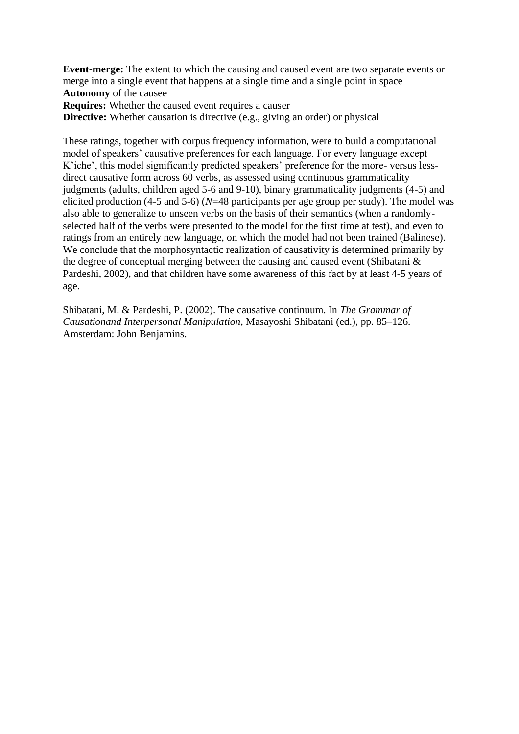**Event-merge:** The extent to which the causing and caused event are two separate events or merge into a single event that happens at a single time and a single point in space **Autonomy** of the causee **Requires:** Whether the caused event requires a causer

**Directive:** Whether causation is directive (e.g., giving an order) or physical

These ratings, together with corpus frequency information, were to build a computational model of speakers' causative preferences for each language. For every language except K'iche', this model significantly predicted speakers' preference for the more- versus lessdirect causative form across 60 verbs, as assessed using continuous grammaticality judgments (adults, children aged 5-6 and 9-10), binary grammaticality judgments (4-5) and elicited production (4-5 and 5-6) (*N*=48 participants per age group per study). The model was also able to generalize to unseen verbs on the basis of their semantics (when a randomlyselected half of the verbs were presented to the model for the first time at test), and even to ratings from an entirely new language, on which the model had not been trained (Balinese). We conclude that the morphosyntactic realization of causativity is determined primarily by the degree of conceptual merging between the causing and caused event (Shibatani & Pardeshi, 2002), and that children have some awareness of this fact by at least 4-5 years of age.

Shibatani, M. & Pardeshi, P. (2002). The causative continuum. In *The Grammar of Causationand Interpersonal Manipulation*, Masayoshi Shibatani (ed.), pp. 85–126. Amsterdam: John Benjamins.